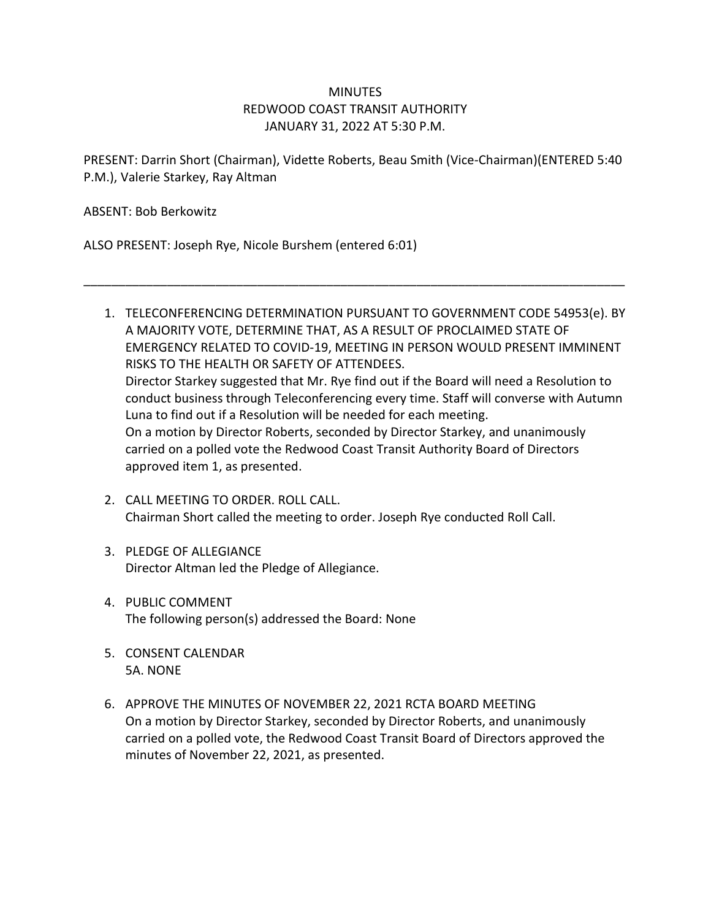# **MINUTES** REDWOOD COAST TRANSIT AUTHORITY JANUARY 31, 2022 AT 5:30 P.M.

PRESENT: Darrin Short (Chairman), Vidette Roberts, Beau Smith (Vice-Chairman)(ENTERED 5:40 P.M.), Valerie Starkey, Ray Altman

\_\_\_\_\_\_\_\_\_\_\_\_\_\_\_\_\_\_\_\_\_\_\_\_\_\_\_\_\_\_\_\_\_\_\_\_\_\_\_\_\_\_\_\_\_\_\_\_\_\_\_\_\_\_\_\_\_\_\_\_\_\_\_\_\_\_\_\_\_\_\_\_\_\_\_\_\_\_

ABSENT: Bob Berkowitz

ALSO PRESENT: Joseph Rye, Nicole Burshem (entered 6:01)

- 1. TELECONFERENCING DETERMINATION PURSUANT TO GOVERNMENT CODE 54953(e). BY A MAJORITY VOTE, DETERMINE THAT, AS A RESULT OF PROCLAIMED STATE OF EMERGENCY RELATED TO COVID-19, MEETING IN PERSON WOULD PRESENT IMMINENT RISKS TO THE HEALTH OR SAFETY OF ATTENDEES. Director Starkey suggested that Mr. Rye find out if the Board will need a Resolution to conduct business through Teleconferencing every time. Staff will converse with Autumn Luna to find out if a Resolution will be needed for each meeting. On a motion by Director Roberts, seconded by Director Starkey, and unanimously carried on a polled vote the Redwood Coast Transit Authority Board of Directors approved item 1, as presented.
- 2. CALL MEETING TO ORDER. ROLL CALL. Chairman Short called the meeting to order. Joseph Rye conducted Roll Call.
- 3. PLEDGE OF ALLEGIANCE Director Altman led the Pledge of Allegiance.
- 4. PUBLIC COMMENT The following person(s) addressed the Board: None
- 5. CONSENT CALENDAR 5A. NONE
- 6. APPROVE THE MINUTES OF NOVEMBER 22, 2021 RCTA BOARD MEETING On a motion by Director Starkey, seconded by Director Roberts, and unanimously carried on a polled vote, the Redwood Coast Transit Board of Directors approved the minutes of November 22, 2021, as presented.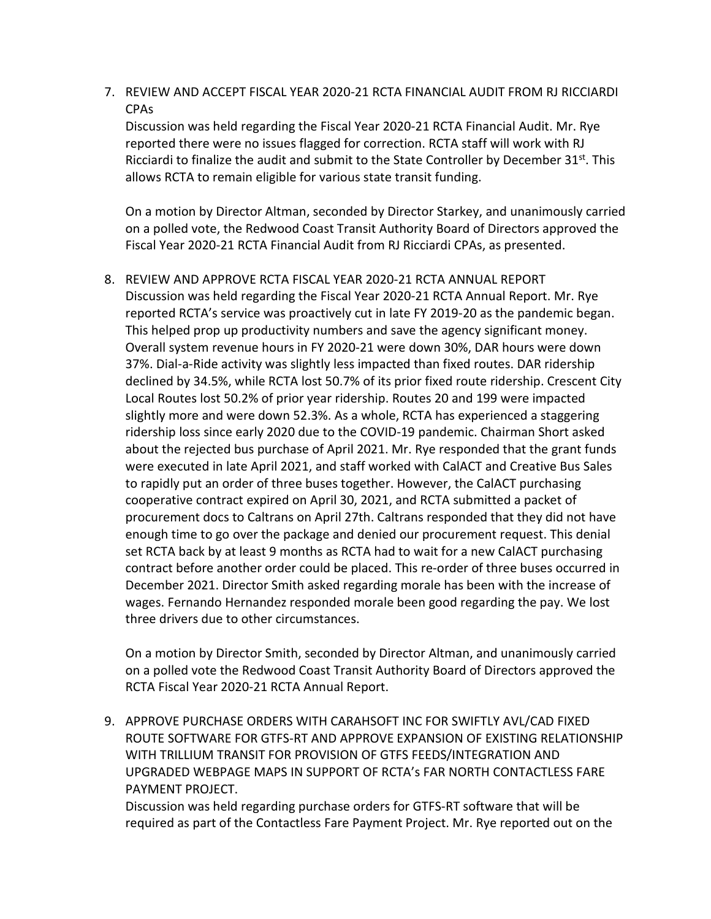7. REVIEW AND ACCEPT FISCAL YEAR 2020-21 RCTA FINANCIAL AUDIT FROM RJ RICCIARDI CPAs

Discussion was held regarding the Fiscal Year 2020-21 RCTA Financial Audit. Mr. Rye reported there were no issues flagged for correction. RCTA staff will work with RJ Ricciardi to finalize the audit and submit to the State Controller by December  $31^{st}$ . This allows RCTA to remain eligible for various state transit funding.

On a motion by Director Altman, seconded by Director Starkey, and unanimously carried on a polled vote, the Redwood Coast Transit Authority Board of Directors approved the Fiscal Year 2020-21 RCTA Financial Audit from RJ Ricciardi CPAs, as presented.

8. REVIEW AND APPROVE RCTA FISCAL YEAR 2020-21 RCTA ANNUAL REPORT

Discussion was held regarding the Fiscal Year 2020-21 RCTA Annual Report. Mr. Rye reported RCTA's service was proactively cut in late FY 2019-20 as the pandemic began. This helped prop up productivity numbers and save the agency significant money. Overall system revenue hours in FY 2020-21 were down 30%, DAR hours were down 37%. Dial-a-Ride activity was slightly less impacted than fixed routes. DAR ridership declined by 34.5%, while RCTA lost 50.7% of its prior fixed route ridership. Crescent City Local Routes lost 50.2% of prior year ridership. Routes 20 and 199 were impacted slightly more and were down 52.3%. As a whole, RCTA has experienced a staggering ridership loss since early 2020 due to the COVID-19 pandemic. Chairman Short asked about the rejected bus purchase of April 2021. Mr. Rye responded that the grant funds were executed in late April 2021, and staff worked with CalACT and Creative Bus Sales to rapidly put an order of three buses together. However, the CalACT purchasing cooperative contract expired on April 30, 2021, and RCTA submitted a packet of procurement docs to Caltrans on April 27th. Caltrans responded that they did not have enough time to go over the package and denied our procurement request. This denial set RCTA back by at least 9 months as RCTA had to wait for a new CalACT purchasing contract before another order could be placed. This re-order of three buses occurred in December 2021. Director Smith asked regarding morale has been with the increase of wages. Fernando Hernandez responded morale been good regarding the pay. We lost three drivers due to other circumstances.

On a motion by Director Smith, seconded by Director Altman, and unanimously carried on a polled vote the Redwood Coast Transit Authority Board of Directors approved the RCTA Fiscal Year 2020-21 RCTA Annual Report.

9. APPROVE PURCHASE ORDERS WITH CARAHSOFT INC FOR SWIFTLY AVL/CAD FIXED ROUTE SOFTWARE FOR GTFS-RT AND APPROVE EXPANSION OF EXISTING RELATIONSHIP WITH TRILLIUM TRANSIT FOR PROVISION OF GTFS FEEDS/INTEGRATION AND UPGRADED WEBPAGE MAPS IN SUPPORT OF RCTA's FAR NORTH CONTACTLESS FARE PAYMENT PROJECT.

Discussion was held regarding purchase orders for GTFS-RT software that will be required as part of the Contactless Fare Payment Project. Mr. Rye reported out on the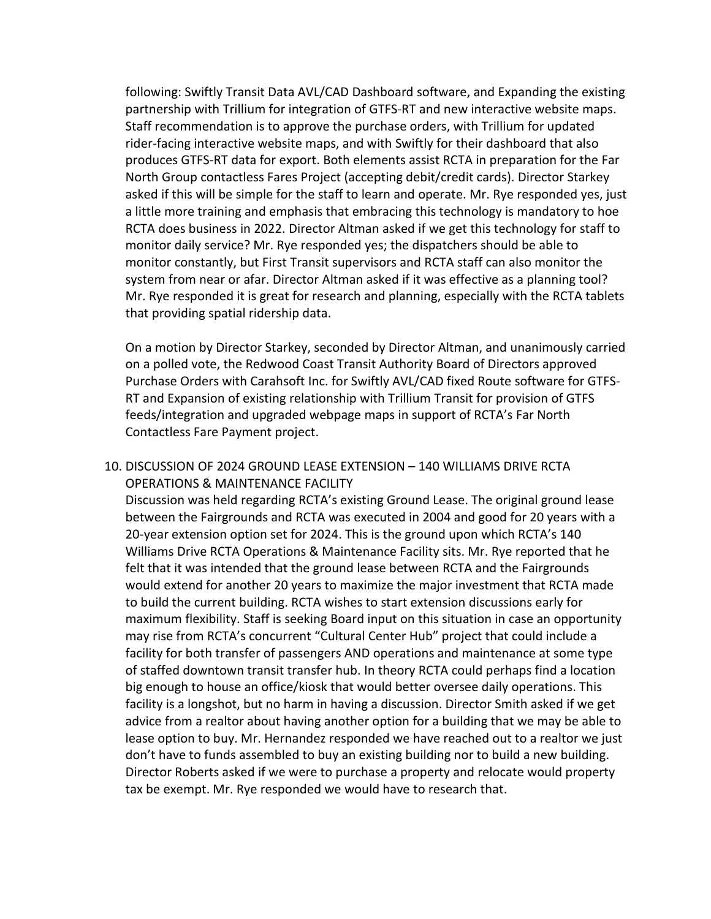following: Swiftly Transit Data AVL/CAD Dashboard software, and Expanding the existing partnership with Trillium for integration of GTFS-RT and new interactive website maps. Staff recommendation is to approve the purchase orders, with Trillium for updated rider-facing interactive website maps, and with Swiftly for their dashboard that also produces GTFS-RT data for export. Both elements assist RCTA in preparation for the Far North Group contactless Fares Project (accepting debit/credit cards). Director Starkey asked if this will be simple for the staff to learn and operate. Mr. Rye responded yes, just a little more training and emphasis that embracing this technology is mandatory to hoe RCTA does business in 2022. Director Altman asked if we get this technology for staff to monitor daily service? Mr. Rye responded yes; the dispatchers should be able to monitor constantly, but First Transit supervisors and RCTA staff can also monitor the system from near or afar. Director Altman asked if it was effective as a planning tool? Mr. Rye responded it is great for research and planning, especially with the RCTA tablets that providing spatial ridership data.

On a motion by Director Starkey, seconded by Director Altman, and unanimously carried on a polled vote, the Redwood Coast Transit Authority Board of Directors approved Purchase Orders with Carahsoft Inc. for Swiftly AVL/CAD fixed Route software for GTFS-RT and Expansion of existing relationship with Trillium Transit for provision of GTFS feeds/integration and upgraded webpage maps in support of RCTA's Far North Contactless Fare Payment project.

## 10. DISCUSSION OF 2024 GROUND LEASE EXTENSION – 140 WILLIAMS DRIVE RCTA OPERATIONS & MAINTENANCE FACILITY

Discussion was held regarding RCTA's existing Ground Lease. The original ground lease between the Fairgrounds and RCTA was executed in 2004 and good for 20 years with a 20-year extension option set for 2024. This is the ground upon which RCTA's 140 Williams Drive RCTA Operations & Maintenance Facility sits. Mr. Rye reported that he felt that it was intended that the ground lease between RCTA and the Fairgrounds would extend for another 20 years to maximize the major investment that RCTA made to build the current building. RCTA wishes to start extension discussions early for maximum flexibility. Staff is seeking Board input on this situation in case an opportunity may rise from RCTA's concurrent "Cultural Center Hub" project that could include a facility for both transfer of passengers AND operations and maintenance at some type of staffed downtown transit transfer hub. In theory RCTA could perhaps find a location big enough to house an office/kiosk that would better oversee daily operations. This facility is a longshot, but no harm in having a discussion. Director Smith asked if we get advice from a realtor about having another option for a building that we may be able to lease option to buy. Mr. Hernandez responded we have reached out to a realtor we just don't have to funds assembled to buy an existing building nor to build a new building. Director Roberts asked if we were to purchase a property and relocate would property tax be exempt. Mr. Rye responded we would have to research that.